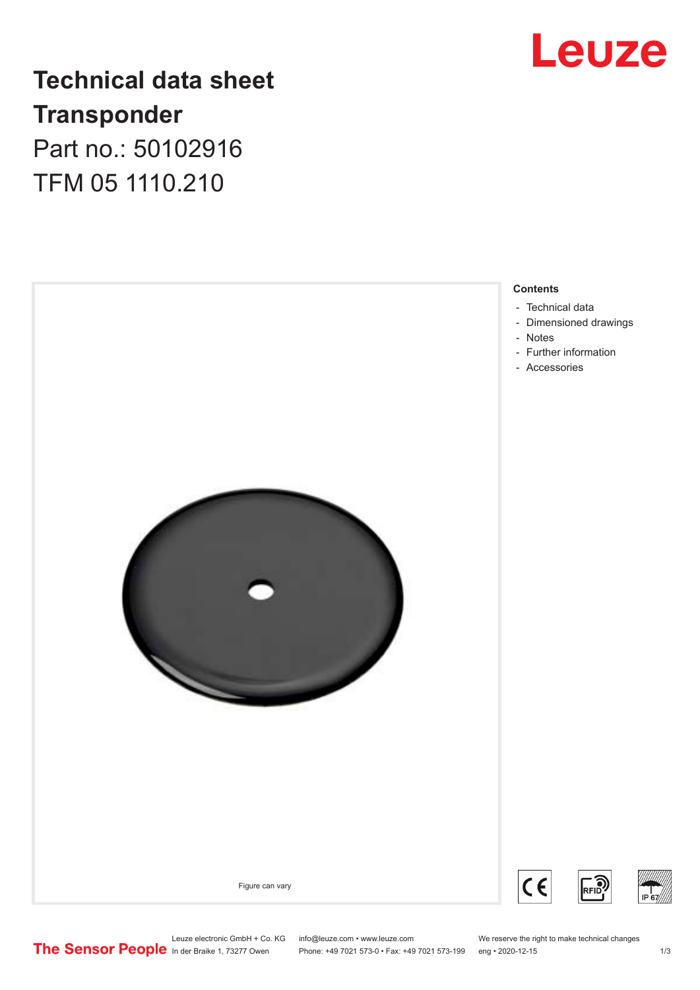# Leuze

# **Technical data sheet Transponder** Part no.: 50102916

TFM 05 1110.210



Leuze electronic GmbH + Co. KG info@leuze.com • www.leuze.com We reserve the right to make technical changes<br>
The Sensor People in der Braike 1, 73277 Owen Phone: +49 7021 573-0 • Fax: +49 7021 573-199 eng • 2020-12-15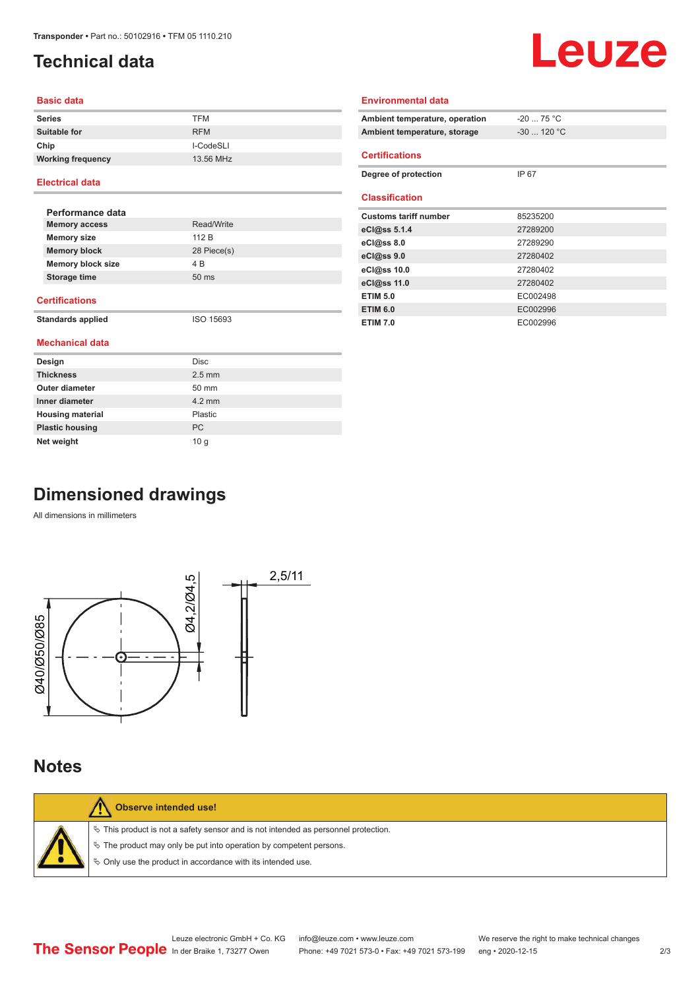# <span id="page-1-0"></span>**Technical data**

# Leuze

#### **Basic data**

| <b>Series</b>            | <b>TFM</b> |
|--------------------------|------------|
| Suitable for             | <b>RFM</b> |
| Chip                     | I-CodeSLI  |
| <b>Working frequency</b> | 13.56 MHz  |

#### **Electrical data**

| Performance data         |                 |
|--------------------------|-----------------|
| <b>Memory access</b>     | Read/Write      |
| <b>Memory size</b>       | 112 B           |
| <b>Memory block</b>      | 28 Piece(s)     |
| <b>Memory block size</b> | 4 B             |
| Storage time             | $50 \text{ ms}$ |
|                          |                 |

#### **Certifications**

**Standards applied** ISO 15693

|  | <b>Mechanical data</b> |  |
|--|------------------------|--|
|  |                        |  |

| Design                  | Disc             |
|-------------------------|------------------|
| <b>Thickness</b>        | $2.5$ mm         |
| <b>Outer diameter</b>   | 50 mm            |
| Inner diameter          | $4.2 \text{ mm}$ |
| <b>Housing material</b> | Plastic          |
| <b>Plastic housing</b>  | <b>PC</b>        |
| Net weight              | 10q              |

| Ambient temperature, operation | $-20$ 75 °C  |
|--------------------------------|--------------|
| Ambient temperature, storage   | $-30$ 120 °C |
| <b>Certifications</b>          |              |
| Degree of protection           | IP 67        |
| <b>Classification</b>          |              |
| <b>Customs tariff number</b>   | 85235200     |
| eCl@ss $5.1.4$                 | 27289200     |
| eCl@ss 8.0                     | 27289290     |
| eCl@ss 9.0                     | 27280402     |
| eCl@ss 10.0                    | 27280402     |
| eCl@ss 11.0                    | 27280402     |
| <b>ETIM 5.0</b>                | EC002498     |
| <b>ETIM 6.0</b>                | EC002996     |

**ETIM 7.0** EC002996

**Environmental data**

# **Dimensioned drawings**

All dimensions in millimeters



### **Notes**

| Observe intended use!                                                                                                                                                                                                         |
|-------------------------------------------------------------------------------------------------------------------------------------------------------------------------------------------------------------------------------|
| $\%$ This product is not a safety sensor and is not intended as personnel protection.<br>$\%$ The product may only be put into operation by competent persons.<br>§ Only use the product in accordance with its intended use. |